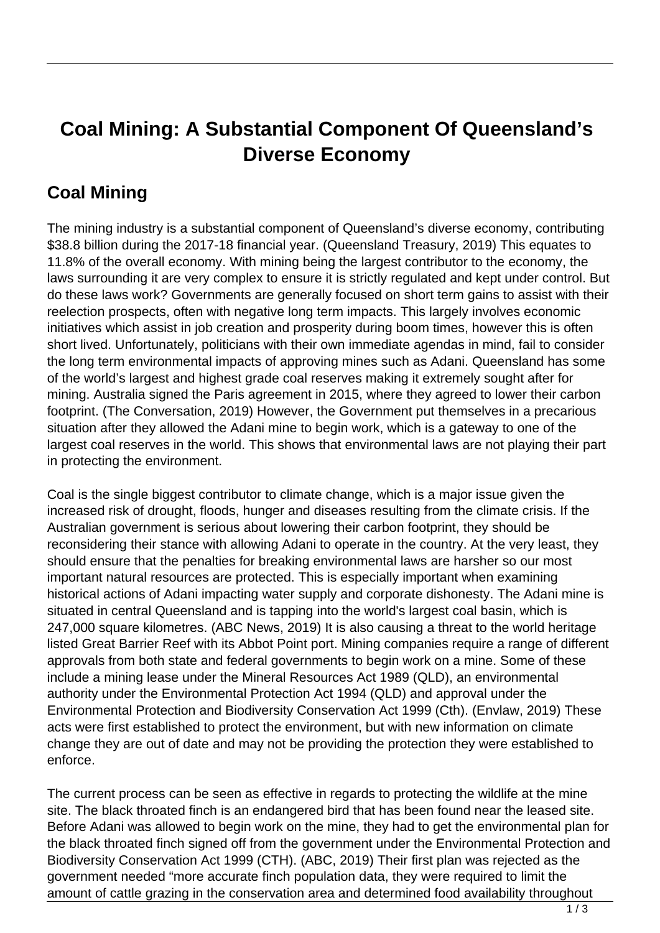## **Coal Mining: A Substantial Component Of Queensland's Diverse Economy**

## **Coal Mining**

The mining industry is a substantial component of Queensland's diverse economy, contributing \$38.8 billion during the 2017-18 financial year. (Queensland Treasury, 2019) This equates to 11.8% of the overall economy. With mining being the largest contributor to the economy, the laws surrounding it are very complex to ensure it is strictly regulated and kept under control. But do these laws work? Governments are generally focused on short term gains to assist with their reelection prospects, often with negative long term impacts. This largely involves economic initiatives which assist in job creation and prosperity during boom times, however this is often short lived. Unfortunately, politicians with their own immediate agendas in mind, fail to consider the long term environmental impacts of approving mines such as Adani. Queensland has some of the world's largest and highest grade coal reserves making it extremely sought after for mining. Australia signed the Paris agreement in 2015, where they agreed to lower their carbon footprint. (The Conversation, 2019) However, the Government put themselves in a precarious situation after they allowed the Adani mine to begin work, which is a gateway to one of the largest coal reserves in the world. This shows that environmental laws are not playing their part in protecting the environment.

Coal is the single biggest contributor to climate change, which is a major issue given the increased risk of drought, floods, hunger and diseases resulting from the climate crisis. If the Australian government is serious about lowering their carbon footprint, they should be reconsidering their stance with allowing Adani to operate in the country. At the very least, they should ensure that the penalties for breaking environmental laws are harsher so our most important natural resources are protected. This is especially important when examining historical actions of Adani impacting water supply and corporate dishonesty. The Adani mine is situated in central Queensland and is tapping into the world's largest coal basin, which is 247,000 square kilometres. (ABC News, 2019) It is also causing a threat to the world heritage listed Great Barrier Reef with its Abbot Point port. Mining companies require a range of different approvals from both state and federal governments to begin work on a mine. Some of these include a mining lease under the Mineral Resources Act 1989 (QLD), an environmental authority under the Environmental Protection Act 1994 (QLD) and approval under the Environmental Protection and Biodiversity Conservation Act 1999 (Cth). (Envlaw, 2019) These acts were first established to protect the environment, but with new information on climate change they are out of date and may not be providing the protection they were established to enforce.

The current process can be seen as effective in regards to protecting the wildlife at the mine site. The black throated finch is an endangered bird that has been found near the leased site. Before Adani was allowed to begin work on the mine, they had to get the environmental plan for the black throated finch signed off from the government under the Environmental Protection and Biodiversity Conservation Act 1999 (CTH). (ABC, 2019) Their first plan was rejected as the government needed "more accurate finch population data, they were required to limit the amount of cattle grazing in the conservation area and determined food availability throughout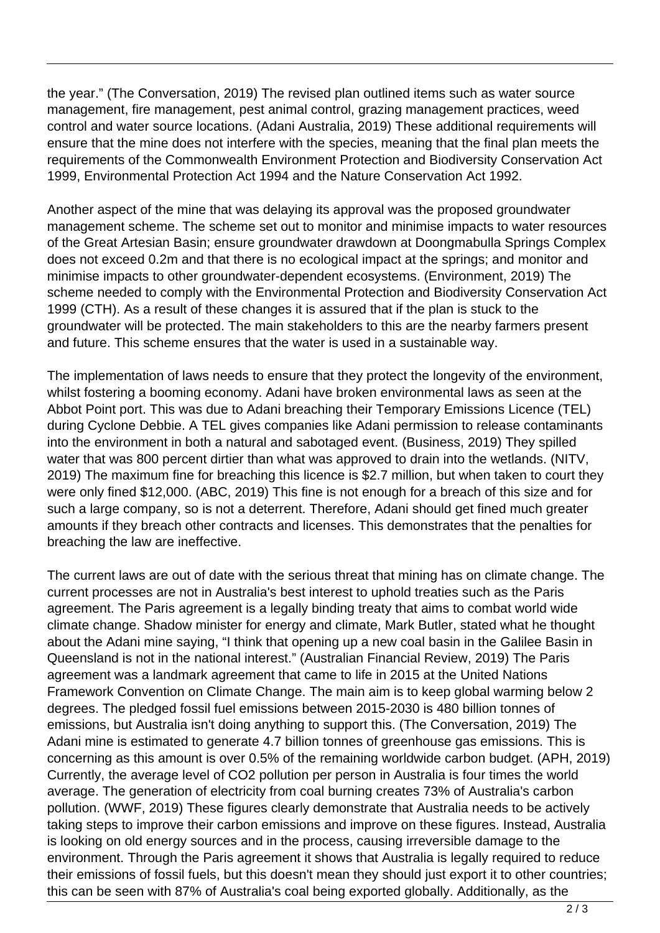the year." (The Conversation, 2019) The revised plan outlined items such as water source management, fire management, pest animal control, grazing management practices, weed control and water source locations. (Adani Australia, 2019) These additional requirements will ensure that the mine does not interfere with the species, meaning that the final plan meets the requirements of the Commonwealth Environment Protection and Biodiversity Conservation Act 1999, Environmental Protection Act 1994 and the Nature Conservation Act 1992.

Another aspect of the mine that was delaying its approval was the proposed groundwater management scheme. The scheme set out to monitor and minimise impacts to water resources of the Great Artesian Basin; ensure groundwater drawdown at Doongmabulla Springs Complex does not exceed 0.2m and that there is no ecological impact at the springs; and monitor and minimise impacts to other groundwater-dependent ecosystems. (Environment, 2019) The scheme needed to comply with the Environmental Protection and Biodiversity Conservation Act 1999 (CTH). As a result of these changes it is assured that if the plan is stuck to the groundwater will be protected. The main stakeholders to this are the nearby farmers present and future. This scheme ensures that the water is used in a sustainable way.

The implementation of laws needs to ensure that they protect the longevity of the environment, whilst fostering a booming economy. Adani have broken environmental laws as seen at the Abbot Point port. This was due to Adani breaching their Temporary Emissions Licence (TEL) during Cyclone Debbie. A TEL gives companies like Adani permission to release contaminants into the environment in both a natural and sabotaged event. (Business, 2019) They spilled water that was 800 percent dirtier than what was approved to drain into the wetlands. (NITV, 2019) The maximum fine for breaching this licence is \$2.7 million, but when taken to court they were only fined \$12,000. (ABC, 2019) This fine is not enough for a breach of this size and for such a large company, so is not a deterrent. Therefore, Adani should get fined much greater amounts if they breach other contracts and licenses. This demonstrates that the penalties for breaching the law are ineffective.

The current laws are out of date with the serious threat that mining has on climate change. The current processes are not in Australia's best interest to uphold treaties such as the Paris agreement. The Paris agreement is a legally binding treaty that aims to combat world wide climate change. Shadow minister for energy and climate, Mark Butler, stated what he thought about the Adani mine saying, "I think that opening up a new coal basin in the Galilee Basin in Queensland is not in the national interest." (Australian Financial Review, 2019) The Paris agreement was a landmark agreement that came to life in 2015 at the United Nations Framework Convention on Climate Change. The main aim is to keep global warming below 2 degrees. The pledged fossil fuel emissions between 2015-2030 is 480 billion tonnes of emissions, but Australia isn't doing anything to support this. (The Conversation, 2019) The Adani mine is estimated to generate 4.7 billion tonnes of greenhouse gas emissions. This is concerning as this amount is over 0.5% of the remaining worldwide carbon budget. (APH, 2019) Currently, the average level of CO2 pollution per person in Australia is four times the world average. The generation of electricity from coal burning creates 73% of Australia's carbon pollution. (WWF, 2019) These figures clearly demonstrate that Australia needs to be actively taking steps to improve their carbon emissions and improve on these figures. Instead, Australia is looking on old energy sources and in the process, causing irreversible damage to the environment. Through the Paris agreement it shows that Australia is legally required to reduce their emissions of fossil fuels, but this doesn't mean they should just export it to other countries; this can be seen with 87% of Australia's coal being exported globally. Additionally, as the